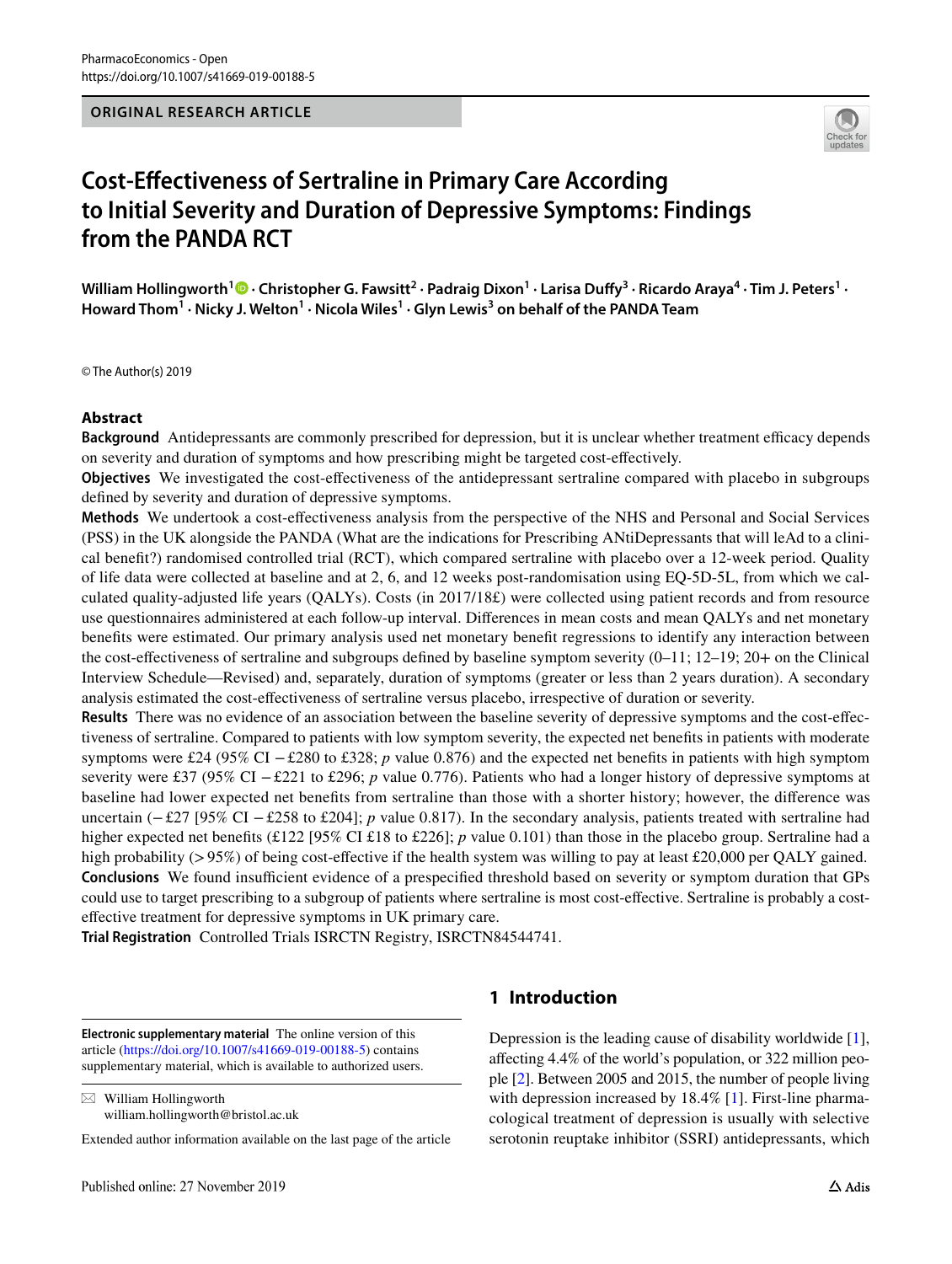

# **Cost‑Efectiveness of Sertraline in Primary Care According to Initial Severity and Duration of Depressive Symptoms: Findings from the PANDA RCT**

**William Hollingworth[1](http://orcid.org/0000-0002-0840-6254) · Christopher G. Fawsitt<sup>2</sup> · Padraig Dixon1 · Larisa Dufy3 · Ricardo Araya4 · Tim J. Peters1 ·**   ${\sf Howard Thom}^1\cdot{\sf Nicky}$  J. Welton $^1\cdot{\sf NicolaWiles}^1\cdot{\sf Glyn}$  Lewis $^3$  on behalf of the PANDA Team

© The Author(s) 2019

#### **Abstract**

**Background** Antidepressants are commonly prescribed for depression, but it is unclear whether treatment efficacy depends on severity and duration of symptoms and how prescribing might be targeted cost-efectively.

**Objectives** We investigated the cost-efectiveness of the antidepressant sertraline compared with placebo in subgroups defned by severity and duration of depressive symptoms.

**Methods** We undertook a cost-efectiveness analysis from the perspective of the NHS and Personal and Social Services (PSS) in the UK alongside the PANDA (What are the indications for Prescribing ANtiDepressants that will leAd to a clinical beneft?) randomised controlled trial (RCT), which compared sertraline with placebo over a 12-week period. Quality of life data were collected at baseline and at 2, 6, and 12 weeks post-randomisation using EQ-5D-5L, from which we calculated quality-adjusted life years (QALYs). Costs (in 2017/18£) were collected using patient records and from resource use questionnaires administered at each follow-up interval. Diferences in mean costs and mean QALYs and net monetary benefts were estimated. Our primary analysis used net monetary beneft regressions to identify any interaction between the cost-efectiveness of sertraline and subgroups defned by baseline symptom severity (0–11; 12–19; 20+ on the Clinical Interview Schedule—Revised) and, separately, duration of symptoms (greater or less than 2 years duration). A secondary analysis estimated the cost-efectiveness of sertraline versus placebo, irrespective of duration or severity.

**Results** There was no evidence of an association between the baseline severity of depressive symptoms and the cost-efectiveness of sertraline. Compared to patients with low symptom severity, the expected net benefts in patients with moderate symptoms were £24 (95% CI – £280 to £328; *p* value 0.876) and the expected net benefits in patients with high symptom severity were £37 (95% CI −£221 to £296; *p* value 0.776). Patients who had a longer history of depressive symptoms at baseline had lower expected net benefts from sertraline than those with a shorter history; however, the diference was uncertain (−£27 [95% CI −£258 to £204]; *p* value 0.817). In the secondary analysis, patients treated with sertraline had higher expected net benefits (£122 [95% CI £18 to £226]; *p* value 0.101) than those in the placebo group. Sertraline had a high probability ( $>95\%$ ) of being cost-effective if the health system was willing to pay at least £20,000 per QALY gained. **Conclusions** We found insufficient evidence of a prespecified threshold based on severity or symptom duration that GPs could use to target prescribing to a subgroup of patients where sertraline is most cost-efective. Sertraline is probably a costefective treatment for depressive symptoms in UK primary care.

**Trial Registration** Controlled Trials ISRCTN Registry, ISRCTN84544741.

**Electronic supplementary material** The online version of this article [\(https://doi.org/10.1007/s41669-019-00188-5\)](https://doi.org/10.1007/s41669-019-00188-5) contains supplementary material, which is available to authorized users.

 $\boxtimes$  William Hollingworth william.hollingworth@bristol.ac.uk

Extended author information available on the last page of the article

## **1 Introduction**

Depression is the leading cause of disability worldwide [\[1](#page-10-0)], afecting 4.4% of the world's population, or 322 million people [[2\]](#page-10-1). Between 2005 and 2015, the number of people living with depression increased by 18.4% [\[1](#page-10-0)]. First-line pharmacological treatment of depression is usually with selective serotonin reuptake inhibitor (SSRI) antidepressants, which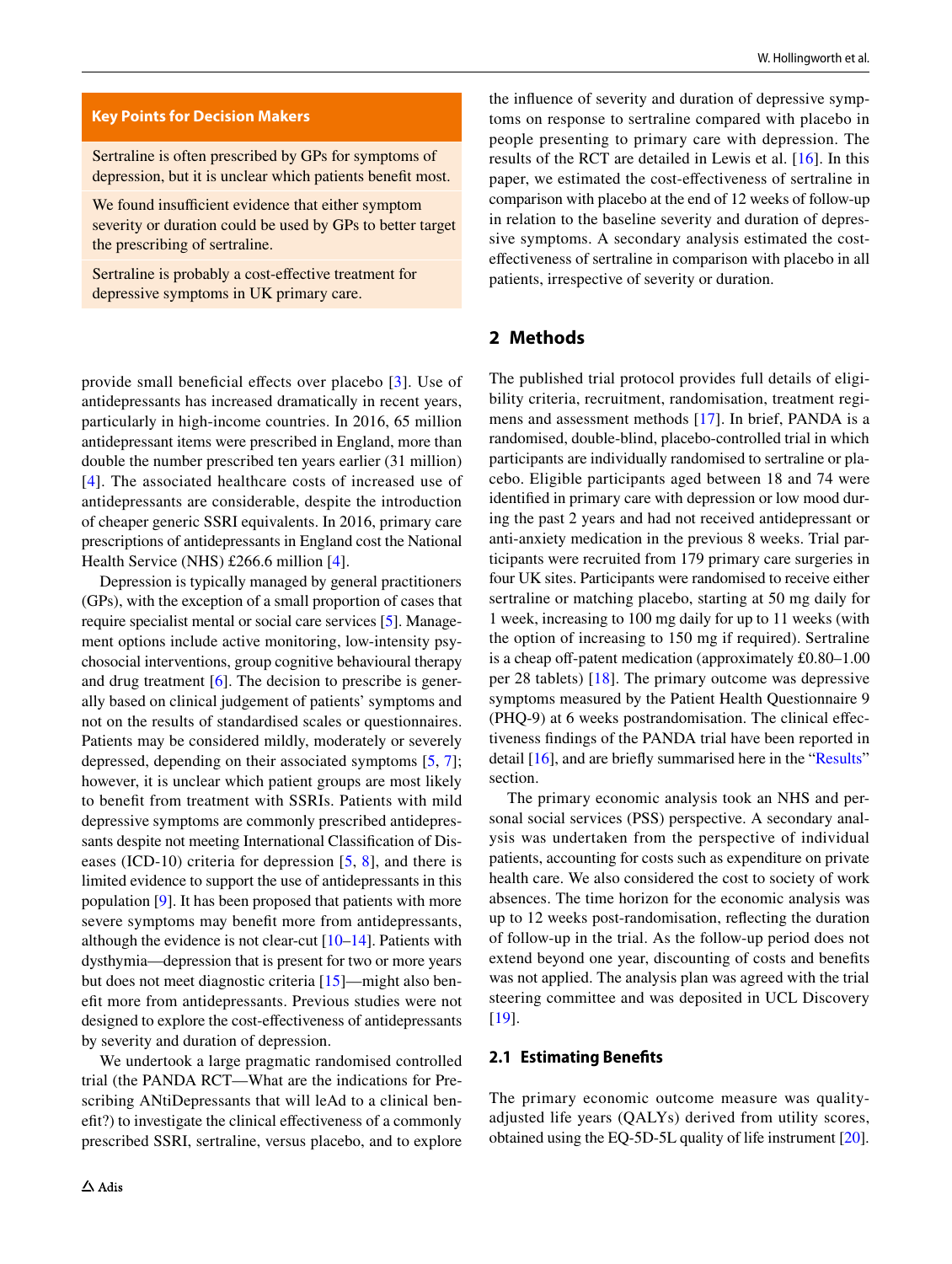#### **Key Points for Decision Makers**

Sertraline is often prescribed by GPs for symptoms of depression, but it is unclear which patients beneft most.

We found insufficient evidence that either symptom severity or duration could be used by GPs to better target the prescribing of sertraline.

Sertraline is probably a cost-efective treatment for depressive symptoms in UK primary care.

provide small beneficial effects over placebo [[3\]](#page-10-7). Use of antidepressants has increased dramatically in recent years, particularly in high-income countries. In 2016, 65 million antidepressant items were prescribed in England, more than double the number prescribed ten years earlier (31 million) [[4\]](#page-10-8). The associated healthcare costs of increased use of antidepressants are considerable, despite the introduction of cheaper generic SSRI equivalents. In 2016, primary care prescriptions of antidepressants in England cost the National Health Service (NHS) £266.6 million [\[4](#page-10-8)].

Depression is typically managed by general practitioners (GPs), with the exception of a small proportion of cases that require specialist mental or social care services [\[5](#page-10-9)]. Management options include active monitoring, low-intensity psychosocial interventions, group cognitive behavioural therapy and drug treatment [\[6\]](#page-10-10). The decision to prescribe is generally based on clinical judgement of patients' symptoms and not on the results of standardised scales or questionnaires. Patients may be considered mildly, moderately or severely depressed, depending on their associated symptoms [[5,](#page-10-9) [7\]](#page-10-11); however, it is unclear which patient groups are most likely to beneft from treatment with SSRIs. Patients with mild depressive symptoms are commonly prescribed antidepressants despite not meeting International Classifcation of Diseases (ICD-10) criteria for depression [[5,](#page-10-9) [8\]](#page-10-12), and there is limited evidence to support the use of antidepressants in this population [[9\]](#page-10-13). It has been proposed that patients with more severe symptoms may beneft more from antidepressants, although the evidence is not clear-cut [\[10](#page-10-14)[–14](#page-10-15)]. Patients with dysthymia—depression that is present for two or more years but does not meet diagnostic criteria [\[15](#page-10-16)]—might also beneft more from antidepressants. Previous studies were not designed to explore the cost-efectiveness of antidepressants by severity and duration of depression.

We undertook a large pragmatic randomised controlled trial (the PANDA RCT—What are the indications for Prescribing ANtiDepressants that will leAd to a clinical beneft?) to investigate the clinical efectiveness of a commonly prescribed SSRI, sertraline, versus placebo, and to explore

the infuence of severity and duration of depressive symptoms on response to sertraline compared with placebo in people presenting to primary care with depression. The results of the RCT are detailed in Lewis et al. [\[16](#page-10-2)]. In this paper, we estimated the cost-efectiveness of sertraline in comparison with placebo at the end of 12 weeks of follow-up in relation to the baseline severity and duration of depressive symptoms. A secondary analysis estimated the costefectiveness of sertraline in comparison with placebo in all patients, irrespective of severity or duration.

#### **2 Methods**

The published trial protocol provides full details of eligibility criteria, recruitment, randomisation, treatment regimens and assessment methods [[17\]](#page-10-3). In brief, PANDA is a randomised, double-blind, placebo-controlled trial in which participants are individually randomised to sertraline or placebo. Eligible participants aged between 18 and 74 were identifed in primary care with depression or low mood during the past 2 years and had not received antidepressant or anti-anxiety medication in the previous 8 weeks. Trial participants were recruited from 179 primary care surgeries in four UK sites. Participants were randomised to receive either sertraline or matching placebo, starting at 50 mg daily for 1 week, increasing to 100 mg daily for up to 11 weeks (with the option of increasing to 150 mg if required). Sertraline is a cheap off-patent medication (approximately  $£0.80-1.00$ per 28 tablets) [[18\]](#page-10-4). The primary outcome was depressive symptoms measured by the Patient Health Questionnaire 9 (PHQ-9) at 6 weeks postrandomisation. The clinical efectiveness fndings of the PANDA trial have been reported in detail [[16\]](#page-10-2), and are briefy summarised here in the "[Results"](#page-3-0) section.

The primary economic analysis took an NHS and personal social services (PSS) perspective. A secondary analysis was undertaken from the perspective of individual patients, accounting for costs such as expenditure on private health care. We also considered the cost to society of work absences. The time horizon for the economic analysis was up to 12 weeks post-randomisation, refecting the duration of follow-up in the trial. As the follow-up period does not extend beyond one year, discounting of costs and benefts was not applied. The analysis plan was agreed with the trial steering committee and was deposited in UCL Discovery [[19\]](#page-10-5).

#### **2.1 Estimating Benefts**

The primary economic outcome measure was qualityadjusted life years (QALYs) derived from utility scores, obtained using the EQ-5D-5L quality of life instrument [[20](#page-10-6)].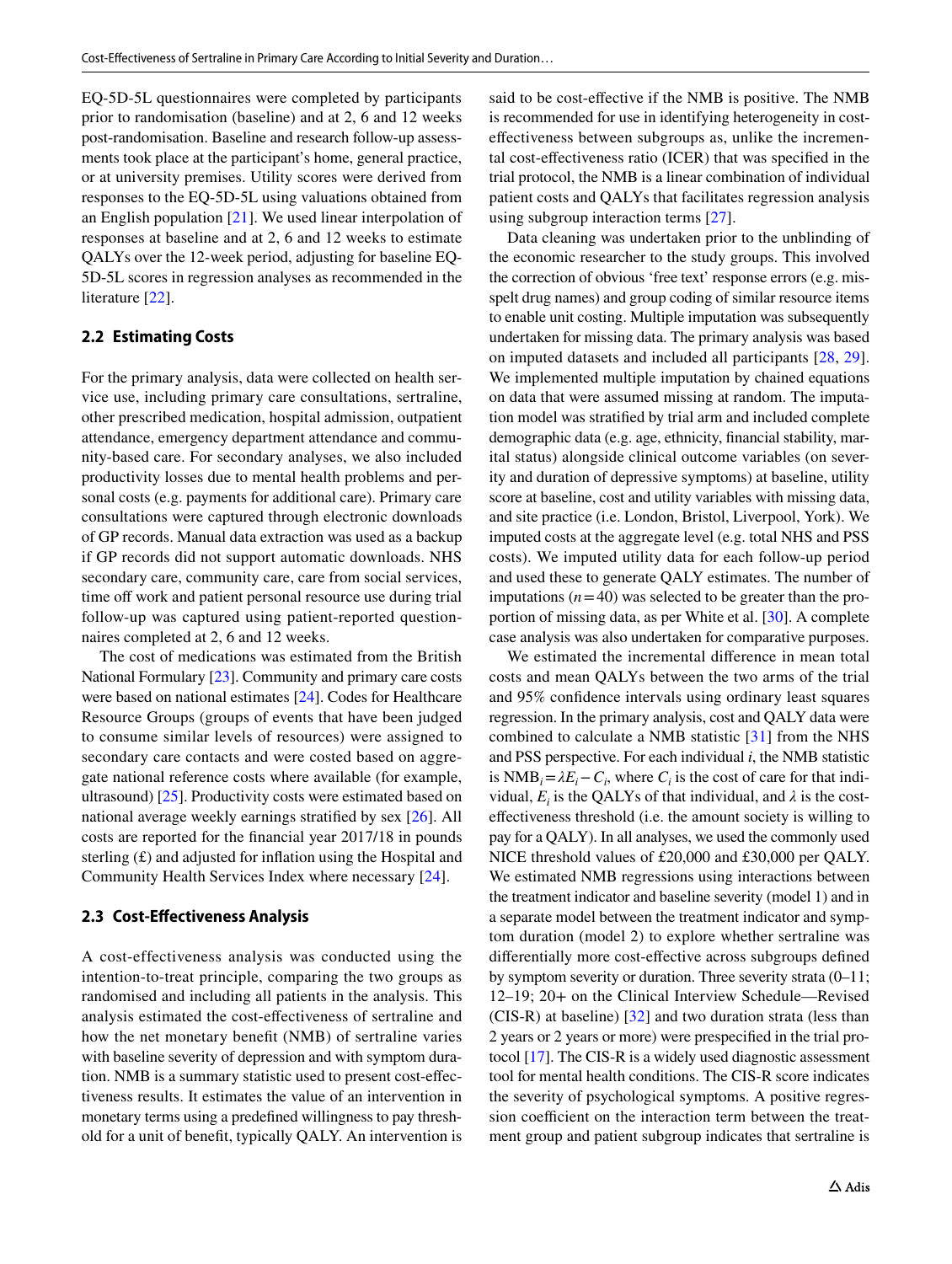EQ-5D-5L questionnaires were completed by participants prior to randomisation (baseline) and at 2, 6 and 12 weeks post-randomisation. Baseline and research follow-up assessments took place at the participant's home, general practice, or at university premises. Utility scores were derived from responses to the EQ-5D-5L using valuations obtained from an English population [\[21\]](#page-10-17). We used linear interpolation of responses at baseline and at 2, 6 and 12 weeks to estimate QALYs over the 12-week period, adjusting for baseline EQ-5D-5L scores in regression analyses as recommended in the literature [\[22](#page-10-18)].

#### **2.2 Estimating Costs**

For the primary analysis, data were collected on health service use, including primary care consultations, sertraline, other prescribed medication, hospital admission, outpatient attendance, emergency department attendance and community-based care. For secondary analyses, we also included productivity losses due to mental health problems and personal costs (e.g. payments for additional care). Primary care consultations were captured through electronic downloads of GP records. Manual data extraction was used as a backup if GP records did not support automatic downloads. NHS secondary care, community care, care from social services, time off work and patient personal resource use during trial follow-up was captured using patient-reported questionnaires completed at 2, 6 and 12 weeks.

The cost of medications was estimated from the British National Formulary [\[23\]](#page-10-19). Community and primary care costs were based on national estimates [[24\]](#page-10-20). Codes for Healthcare Resource Groups (groups of events that have been judged to consume similar levels of resources) were assigned to secondary care contacts and were costed based on aggregate national reference costs where available (for example, ultrasound) [[25\]](#page-10-21). Productivity costs were estimated based on national average weekly earnings stratifed by sex [[26\]](#page-10-22). All costs are reported for the fnancial year 2017/18 in pounds sterling  $(E)$  and adjusted for inflation using the Hospital and Community Health Services Index where necessary [[24\]](#page-10-20).

#### **2.3 Cost‑Efectiveness Analysis**

A cost-effectiveness analysis was conducted using the intention-to-treat principle, comparing the two groups as randomised and including all patients in the analysis. This analysis estimated the cost-efectiveness of sertraline and how the net monetary beneft (NMB) of sertraline varies with baseline severity of depression and with symptom duration. NMB is a summary statistic used to present cost-efectiveness results. It estimates the value of an intervention in monetary terms using a predefned willingness to pay threshold for a unit of beneft, typically QALY. An intervention is said to be cost-efective if the NMB is positive. The NMB is recommended for use in identifying heterogeneity in costefectiveness between subgroups as, unlike the incremental cost-efectiveness ratio (ICER) that was specifed in the trial protocol, the NMB is a linear combination of individual patient costs and QALYs that facilitates regression analysis using subgroup interaction terms [[27\]](#page-10-23).

Data cleaning was undertaken prior to the unblinding of the economic researcher to the study groups. This involved the correction of obvious 'free text' response errors (e.g. misspelt drug names) and group coding of similar resource items to enable unit costing. Multiple imputation was subsequently undertaken for missing data. The primary analysis was based on imputed datasets and included all participants [[28,](#page-10-24) [29](#page-10-25)]. We implemented multiple imputation by chained equations on data that were assumed missing at random. The imputation model was stratifed by trial arm and included complete demographic data (e.g. age, ethnicity, fnancial stability, marital status) alongside clinical outcome variables (on severity and duration of depressive symptoms) at baseline, utility score at baseline, cost and utility variables with missing data, and site practice (i.e. London, Bristol, Liverpool, York). We imputed costs at the aggregate level (e.g. total NHS and PSS costs). We imputed utility data for each follow-up period and used these to generate QALY estimates. The number of imputations  $(n=40)$  was selected to be greater than the proportion of missing data, as per White et al. [\[30](#page-10-26)]. A complete case analysis was also undertaken for comparative purposes.

We estimated the incremental diference in mean total costs and mean QALYs between the two arms of the trial and 95% confdence intervals using ordinary least squares regression. In the primary analysis, cost and QALY data were combined to calculate a NMB statistic [[31\]](#page-10-27) from the NHS and PSS perspective. For each individual *i*, the NMB statistic is  $NMB<sub>i</sub> = \lambda E<sub>i</sub> - C<sub>i</sub>$ , where  $C<sub>i</sub>$  is the cost of care for that individual,  $E_i$  is the QALYs of that individual, and  $\lambda$  is the costefectiveness threshold (i.e. the amount society is willing to pay for a QALY). In all analyses, we used the commonly used NICE threshold values of £20,000 and £30,000 per QALY. We estimated NMB regressions using interactions between the treatment indicator and baseline severity (model 1) and in a separate model between the treatment indicator and symptom duration (model 2) to explore whether sertraline was diferentially more cost-efective across subgroups defned by symptom severity or duration. Three severity strata (0–11; 12–19; 20+ on the Clinical Interview Schedule—Revised (CIS-R) at baseline) [[32\]](#page-10-28) and two duration strata (less than 2 years or 2 years or more) were prespecifed in the trial protocol [\[17](#page-10-3)]. The CIS-R is a widely used diagnostic assessment tool for mental health conditions. The CIS-R score indicates the severity of psychological symptoms. A positive regression coefficient on the interaction term between the treatment group and patient subgroup indicates that sertraline is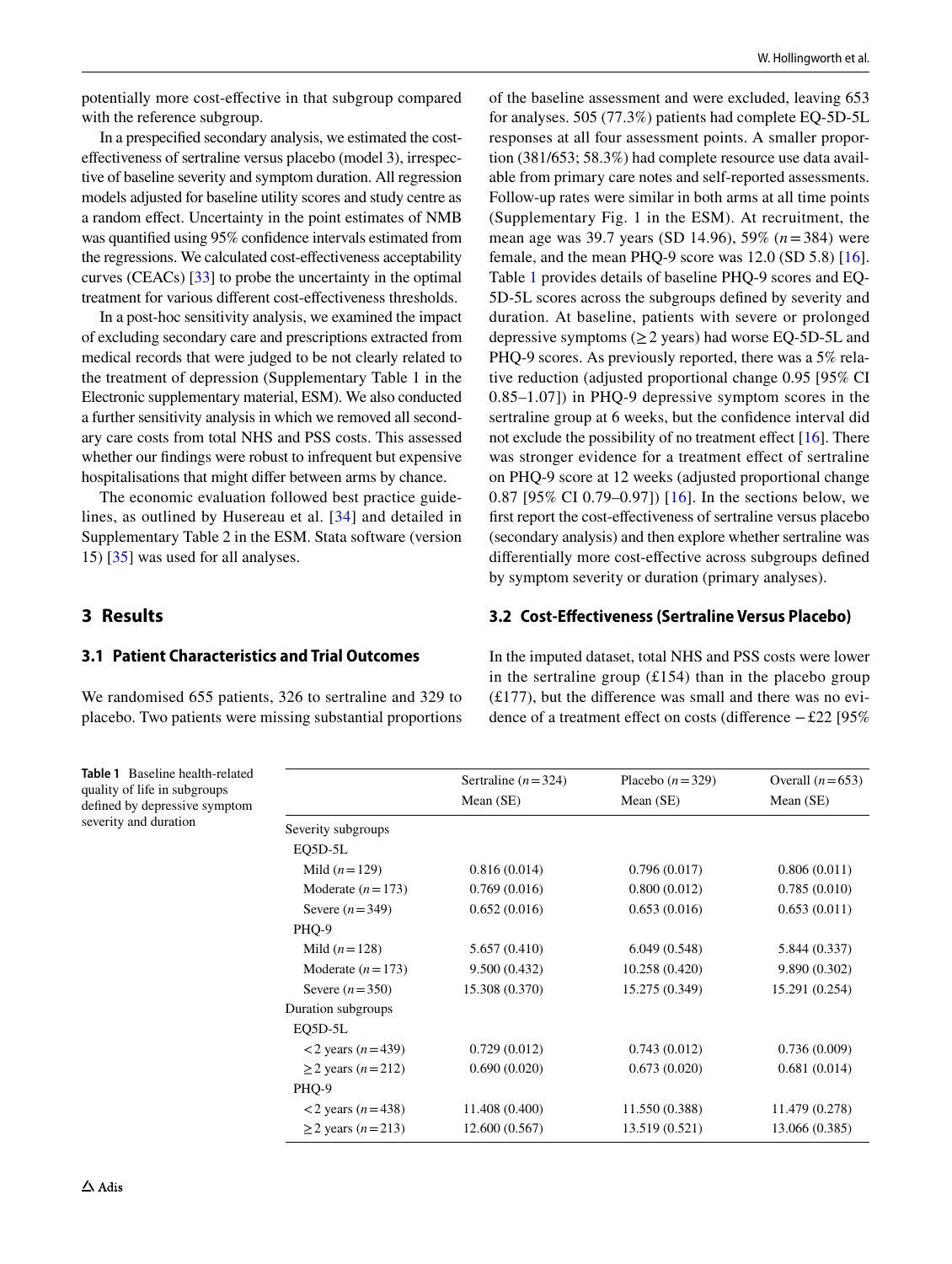potentially more cost-efective in that subgroup compared with the reference subgroup.

In a prespecifed secondary analysis, we estimated the costefectiveness of sertraline versus placebo (model 3), irrespective of baseline severity and symptom duration. All regression models adjusted for baseline utility scores and study centre as a random efect. Uncertainty in the point estimates of NMB was quantifed using 95% confdence intervals estimated from the regressions. We calculated cost-efectiveness acceptability curves (CEACs) [[33\]](#page-10-29) to probe the uncertainty in the optimal treatment for various diferent cost-efectiveness thresholds.

In a post-hoc sensitivity analysis, we examined the impact of excluding secondary care and prescriptions extracted from medical records that were judged to be not clearly related to the treatment of depression (Supplementary Table 1 in the Electronic supplementary material, ESM). We also conducted a further sensitivity analysis in which we removed all secondary care costs from total NHS and PSS costs. This assessed whether our fndings were robust to infrequent but expensive hospitalisations that might difer between arms by chance.

The economic evaluation followed best practice guidelines, as outlined by Husereau et al. [[34\]](#page-11-0) and detailed in Supplementary Table 2 in the ESM. Stata software (version 15) [\[35](#page-11-1)] was used for all analyses.

of the baseline assessment and were excluded, leaving 653 for analyses. 505 (77.3%) patients had complete EQ-5D-5L responses at all four assessment points. A smaller proportion (381/653; 58.3%) had complete resource use data available from primary care notes and self-reported assessments. Follow-up rates were similar in both arms at all time points (Supplementary Fig. 1 in the ESM). At recruitment, the mean age was 39.7 years (SD 14.96), 59% (*n*=384) were female, and the mean PHQ-9 score was 12.0 (SD 5.8) [\[16](#page-10-2)]. Table [1](#page-3-1) provides details of baseline PHQ-9 scores and EQ-5D-5L scores across the subgroups defned by severity and duration. At baseline, patients with severe or prolonged depressive symptoms ( $\geq$ 2 years) had worse EQ-5D-5L and PHQ-9 scores. As previously reported, there was a 5% relative reduction (adjusted proportional change 0.95 [95% CI 0.85–1.07]) in PHQ-9 depressive symptom scores in the sertraline group at 6 weeks, but the confidence interval did not exclude the possibility of no treatment effect  $[16]$  $[16]$ . There was stronger evidence for a treatment effect of sertraline on PHQ-9 score at 12 weeks (adjusted proportional change 0.87 [95% CI 0.79–0.97]) [[16\]](#page-10-2). In the sections below, we frst report the cost-efectiveness of sertraline versus placebo (secondary analysis) and then explore whether sertraline was diferentially more cost-efective across subgroups defned by symptom severity or duration (primary analyses).

## <span id="page-3-0"></span>**3 Results**

severity and duration

#### **3.1 Patient Characteristics and Trial Outcomes**

We randomised 655 patients, 326 to sertraline and 329 to placebo. Two patients were missing substantial proportions **3.2 Cost‑Efectiveness (Sertraline Versus Placebo)**

In the imputed dataset, total NHS and PSS costs were lower in the sertraline group  $(E154)$  than in the placebo group (£177), but the diference was small and there was no evidence of a treatment effect on costs (difference – £22 [95%

<span id="page-3-1"></span>**Table 1** Baseline health-related quality of life in subgroups defned by depressive symptom Sertraline  $(n=324)$  Placebo  $(n=329)$  Overall  $(n=653)$ Mean (SE) Mean (SE) Mean (SE) Severity subgroups EQ5D-5L Mild (*n*=129) 0.816 (0.014) 0.796 (0.017) 0.806 (0.011) Moderate (*n*=173) 0.769 (0.016) 0.800 (0.012) 0.785 (0.010) Severe (*n*=349) 0.652 (0.016) 0.653 (0.016) 0.653 (0.011) PHQ-9 Mild (*n* = 128) 5.657 (0.410) 6.049 (0.548) 5.844 (0.337) Moderate (*n*=173) 9.500 (0.432) 10.258 (0.420) 9.890 (0.302) Severe (*n*=350) 15.308 (0.370) 15.275 (0.349) 15.291 (0.254) Duration subgroups EQ5D-5L <2 years (*n*=439) 0.729 (0.012) 0.743 (0.012) 0.736 (0.009)  $\geq$ 2 years (*n*=212) 0.690 (0.020) 0.673 (0.020) 0.681 (0.014) PHQ-9 <2 years (*n*=438) 11.408 (0.400) 11.550 (0.388) 11.479 (0.278) ≥2 years (*n*=213) 12.600 (0.567) 13.519 (0.521) 13.066 (0.385)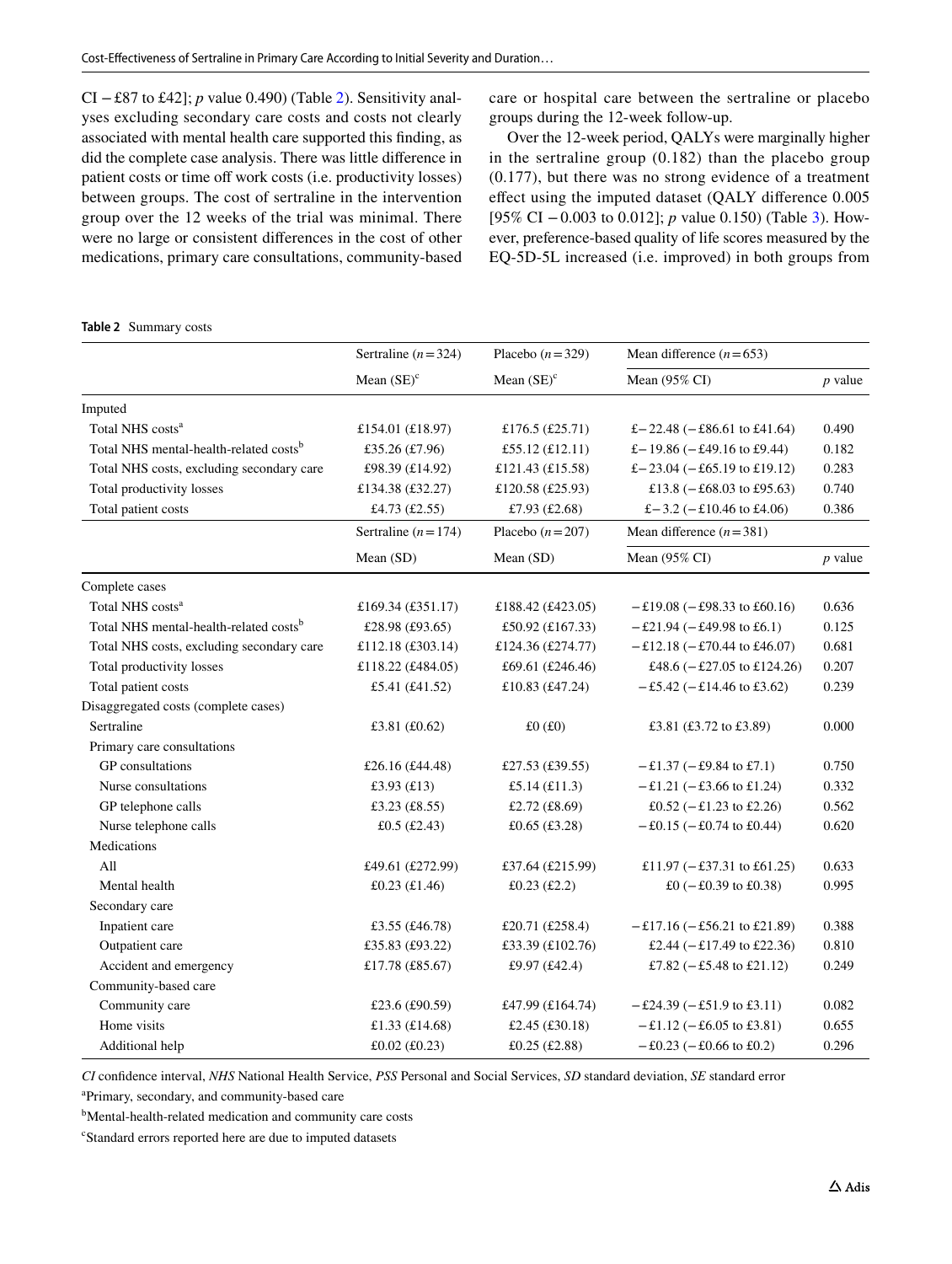CI −£87 to £42]; *p* value 0.490) (Table [2](#page-4-0)). Sensitivity analyses excluding secondary care costs and costs not clearly associated with mental health care supported this fnding, as did the complete case analysis. There was little diference in patient costs or time off work costs (i.e. productivity losses) between groups. The cost of sertraline in the intervention group over the 12 weeks of the trial was minimal. There were no large or consistent diferences in the cost of other medications, primary care consultations, community-based care or hospital care between the sertraline or placebo groups during the 12-week follow-up.

Over the 12-week period, QALYs were marginally higher in the sertraline group (0.182) than the placebo group (0.177), but there was no strong evidence of a treatment efect using the imputed dataset (QALY diference 0.005 [95% CI − 0.00[3](#page-5-0) to 0.012]; *p* value 0.150) (Table 3). However, preference-based quality of life scores measured by the EQ-5D-5L increased (i.e. improved) in both groups from

#### <span id="page-4-0"></span>**Table 2** Summary costs

|                                                    | Sertraline ( $n = 324$ ) | Placebo $(n=329)$   | Mean difference $(n=653)$                        |           |
|----------------------------------------------------|--------------------------|---------------------|--------------------------------------------------|-----------|
|                                                    | Mean $(SE)^c$            | Mean $(SE)^c$       | Mean $(95\% \text{ CI})$                         | $p$ value |
| Imputed                                            |                          |                     |                                                  |           |
| Total NHS costs <sup>a</sup>                       | £154.01 $(E18.97)$       | £176.5 $(E25.71)$   | £ - 22.48 ( $-$ £86.61 to £41.64)                | 0.490     |
| Total NHS mental-health-related costs <sup>b</sup> | £35.26 (£7.96)           | £55.12 (£12.11)     | £-19.86 (-£49.16 to £9.44)                       | 0.182     |
| Total NHS costs, excluding secondary care          | £98.39 (£14.92)          | £121.43 (£15.58)    | £ $-23.04$ ( $-£65.19$ to £19.12)                | 0.283     |
| Total productivity losses                          | £134.38 (£32.27)         | £120.58 (£25.93)    | £13.8 ( $-$ £68.03 to £95.63)                    | 0.740     |
| Total patient costs                                | £4.73 $(E2.55)$          | £7.93 $(£2.68)$     | £ $-3.2$ ( $-£10.46$ to £4.06)                   | 0.386     |
|                                                    | Sertraline ( $n = 174$ ) | Placebo $(n=207)$   | Mean difference $(n=381)$                        |           |
|                                                    | Mean (SD)                | Mean (SD)           | Mean $(95\%$ CI)                                 | $p$ value |
| Complete cases                                     |                          |                     |                                                  |           |
| Total NHS costs <sup>a</sup>                       | £169.34 (£351.17)        | £188.42 $(E423.05)$ | $-£19.08 (-£98.33)$ to £60.16)                   | 0.636     |
| Total NHS mental-health-related costs <sup>b</sup> | £28.98 (£93.65)          | £50.92 (£167.33)    | $-£21.94 (-£49.98 to £6.1)$                      | 0.125     |
| Total NHS costs, excluding secondary care          | £112.18 (£303.14)        | £124.36 (£274.77)   | $-£12.18 (-£70.44 to £46.07)$                    | 0.681     |
| Total productivity losses                          | £118.22 (£484.05)        | £69.61 (£246.46)    | £48.6 ( $-$ £27.05 to £124.26)                   | 0.207     |
| Total patient costs                                | £5.41 (£41.52)           | £10.83 (£47.24)     | $-$ £5.42 ( $-$ £14.46 to £3.62)                 | 0.239     |
| Disaggregated costs (complete cases)               |                          |                     |                                                  |           |
| Sertraline                                         | £3.81 (£0.62)            | £0(f0)              | £3.81 (£3.72 to £3.89)                           | 0.000     |
| Primary care consultations                         |                          |                     |                                                  |           |
| GP consultations                                   | £26.16 (£44.48)          | £27.53 (£39.55)     | $-£1.37 (-£9.84$ to £7.1)                        | 0.750     |
| Nurse consultations                                | £3.93 $(f13)$            | £5.14 $(E11.3)$     | $-£1.21 (-£3.66$ to £1.24)                       | 0.332     |
| GP telephone calls                                 | £3.23 (£8.55)            | £2.72 $(f8.69)$     | £0.52 ( $-£1.23$ to £2.26)                       | 0.562     |
| Nurse telephone calls                              | £0.5 $(f2.43)$           | £0.65 $(£3.28)$     | $-£0.15 (-£0.74$ to £0.44)                       | 0.620     |
| Medications                                        |                          |                     |                                                  |           |
| All                                                | £49.61 (£272.99)         | £37.64 (£215.99)    | £11.97 ( $-$ £37.31 to £61.25)                   | 0.633     |
| Mental health                                      | £0.23 $(£1.46)$          | £0.23 $(f2.2)$      | £0 $(-£0.39$ to £0.38)                           | 0.995     |
| Secondary care                                     |                          |                     |                                                  |           |
| Inpatient care                                     | £3.55 (£46.78)           | £20.71 (£258.4)     | $-£17.16 (-£56.21 to £21.89)$                    | 0.388     |
| Outpatient care                                    | £35.83 (£93.22)          | £33.39 (£102.76)    | £2.44 $(-\pounds17.49 \text{ to } \pounds22.36)$ | 0.810     |
| Accident and emergency                             | £17.78 (£85.67)          | £9.97 (£42.4)       | £7.82 $(-£5.48$ to £21.12)                       | 0.249     |
| Community-based care                               |                          |                     |                                                  |           |
| Community care                                     | £23.6 (£90.59)           | £47.99 (£164.74)    | $-$ £24.39 ( $-$ £51.9 to £3.11)                 | 0.082     |
| Home visits                                        | £1.33 $(E14.68)$         | £2.45 $(E30.18)$    | $-£1.12 (-£6.05$ to £3.81)                       | 0.655     |
| Additional help                                    | £0.02 $(£0.23)$          | £0.25 (£2.88)       | $-£0.23 (-£0.66$ to £0.2)                        | 0.296     |

*CI* confdence interval, *NHS* National Health Service, *PSS* Personal and Social Services, *SD* standard deviation, *SE* standard error

a Primary, secondary, and community-based care

<sup>b</sup>Mental-health-related medication and community care costs

c Standard errors reported here are due to imputed datasets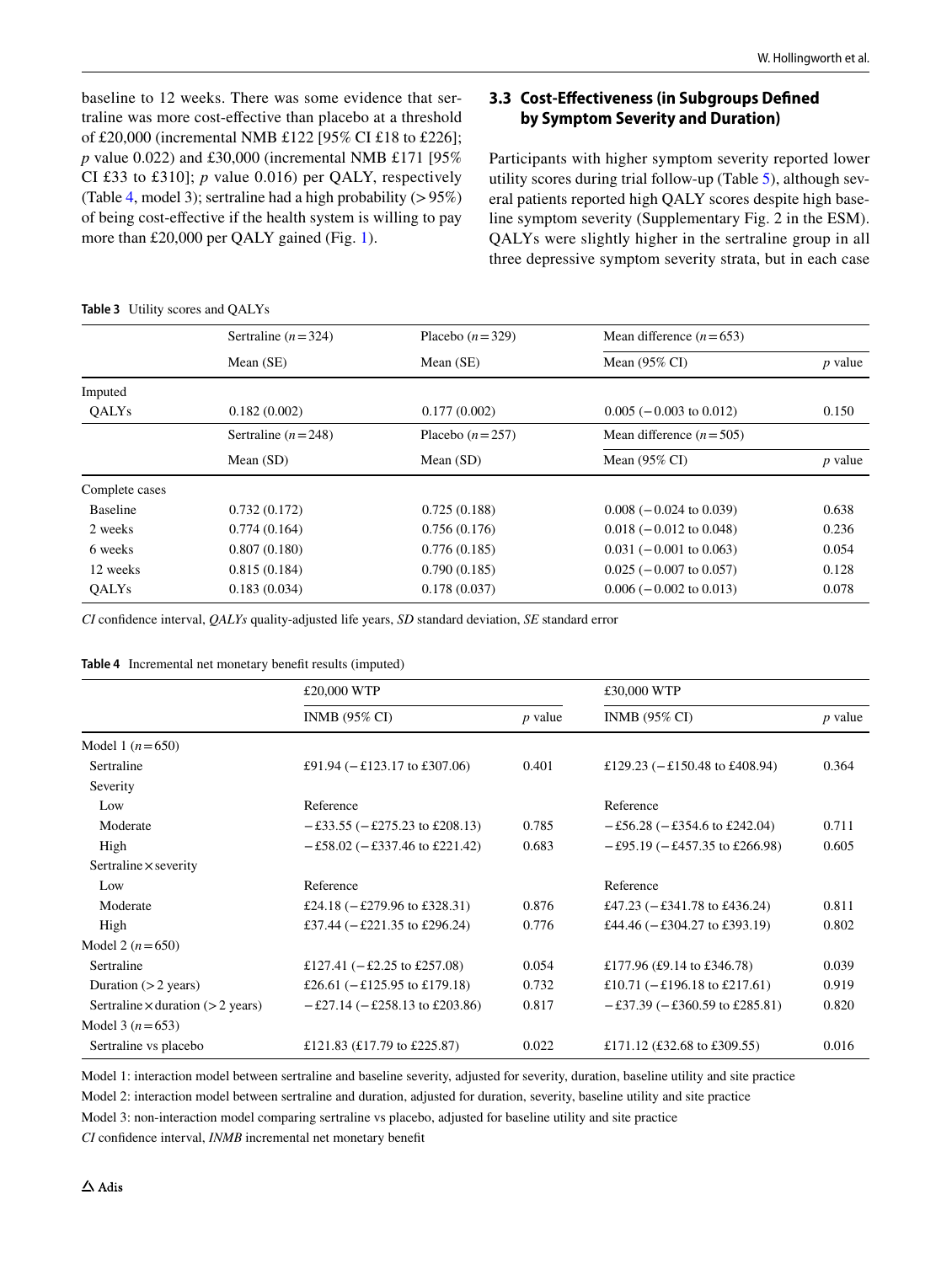baseline to 12 weeks. There was some evidence that sertraline was more cost-efective than placebo at a threshold of £20,000 (incremental NMB £122 [95% CI £18 to £226]; *p* value 0.022) and £30,000 (incremental NMB £171 [95% CI £33 to £310]; *p* value 0.016) per QALY, respectively (Table [4,](#page-5-1) model 3); sertraline had a high probability  $(> 95\%)$ of being cost-efective if the health system is willing to pay more than £20,000 per QALY gained (Fig. [1](#page-6-0)).

<span id="page-5-0"></span>**Table 3** Utility scores and QALYs

## **3.3 Cost‑Efectiveness (in Subgroups Defned by Symptom Severity and Duration)**

Participants with higher symptom severity reported lower utility scores during trial follow-up (Table [5](#page-6-1)), although several patients reported high QALY scores despite high baseline symptom severity (Supplementary Fig. 2 in the ESM). QALYs were slightly higher in the sertraline group in all three depressive symptom severity strata, but in each case

|                 | Sertraline $(n=324)$ | Placebo $(n=329)$ | Mean difference $(n=653)$          |           |
|-----------------|----------------------|-------------------|------------------------------------|-----------|
|                 | Mean (SE)            | Mean $(SE)$       | Mean $(95\% \text{ CI})$           | $p$ value |
| Imputed         |                      |                   |                                    |           |
| <b>OALYs</b>    | 0.182(0.002)         | 0.177(0.002)      | $0.005$ ( $-0.003$ to $0.012$ )    | 0.150     |
|                 | Sertraline $(n=248)$ | Placebo $(n=257)$ | Mean difference $(n=505)$          |           |
|                 | Mean $(SD)$          | Mean $(SD)$       | Mean $(95\% \text{ CI})$           | $p$ value |
| Complete cases  |                      |                   |                                    |           |
| <b>Baseline</b> | 0.732(0.172)         | 0.725(0.188)      | $0.008 (-0.024 \text{ to } 0.039)$ | 0.638     |
| 2 weeks         | 0.774(0.164)         | 0.756(0.176)      | $0.018 (-0.012 \text{ to } 0.048)$ | 0.236     |
| 6 weeks         | 0.807(0.180)         | 0.776(0.185)      | $0.031 (-0.001$ to $0.063)$        | 0.054     |
| 12 weeks        | 0.815(0.184)         | 0.790(0.185)      | $0.025$ (-0.007 to 0.057)          | 0.128     |
| <b>OALYs</b>    | 0.183(0.034)         | 0.178(0.037)      | $0.006 (-0.002 \text{ to } 0.013)$ | 0.078     |

*CI* confdence interval, *QALYs* quality-adjusted life years, *SD* standard deviation, *SE* standard error

<span id="page-5-1"></span>

| Table 4 Incremental net monetary benefit results (imputed) |  |
|------------------------------------------------------------|--|
|------------------------------------------------------------|--|

|                                             | £20,000 WTP                          |           | £30,000 WTP                      |           |
|---------------------------------------------|--------------------------------------|-----------|----------------------------------|-----------|
|                                             | <b>INMB</b> (95% CI)                 | $p$ value | <b>INMB</b> (95% CI)             | $p$ value |
| Model 1 $(n=650)$                           |                                      |           |                                  |           |
| Sertraline                                  | £91.94 $(-123.17)$ to £307.06)       | 0.401     | £129.23 $(-£150.48$ to £408.94)  | 0.364     |
| Severity                                    |                                      |           |                                  |           |
| Low                                         | Reference                            |           | Reference                        |           |
| Moderate                                    | $-£33.55 (-£275.23$ to £208.13)      | 0.785     | $-£56.28 (-£354.6$ to £242.04)   | 0.711     |
| High                                        | $-£58.02 (-£337.46$ to £221.42)      | 0.683     | $-£95.19 (-£457.35$ to £266.98)  | 0.605     |
| Sertraline $\times$ severity                |                                      |           |                                  |           |
| Low                                         | Reference                            |           | Reference                        |           |
| Moderate                                    | £24.18 ( $-$ £279.96 to £328.31)     | 0.876     | £47.23 $(-£341.78$ to £436.24)   | 0.811     |
| High                                        | £37.44 ( $-$ £221.35 to £296.24)     | 0.776     | £44.46 ( $-$ £304.27 to £393.19) | 0.802     |
| Model 2 $(n=650)$                           |                                      |           |                                  |           |
| Sertraline                                  | £127.41 ( $-$ £2.25 to £257.08)      | 0.054     | £177.96 (£9.14 to £346.78)       | 0.039     |
| Duration $(>2$ years)                       | £26.61 ( $-$ £125.95 to £179.18)     | 0.732     | £10.71 ( $-$ £196.18 to £217.61) | 0.919     |
| Sertraline $\times$ duration ( $>$ 2 years) | $-$ £27.14 ( $-$ £258.13 to £203.86) | 0.817     | $-£37.39 (-£360.59$ to £285.81)  | 0.820     |
| Model 3 $(n=653)$                           |                                      |           |                                  |           |
| Sertraline vs placebo                       | £121.83 (£17.79 to £225.87)          | 0.022     | £171.12 (£32.68 to £309.55)      | 0.016     |

Model 1: interaction model between sertraline and baseline severity, adjusted for severity, duration, baseline utility and site practice Model 2: interaction model between sertraline and duration, adjusted for duration, severity, baseline utility and site practice

Model 3: non-interaction model comparing sertraline vs placebo, adjusted for baseline utility and site practice

*CI* confdence interval, *INMB* incremental net monetary beneft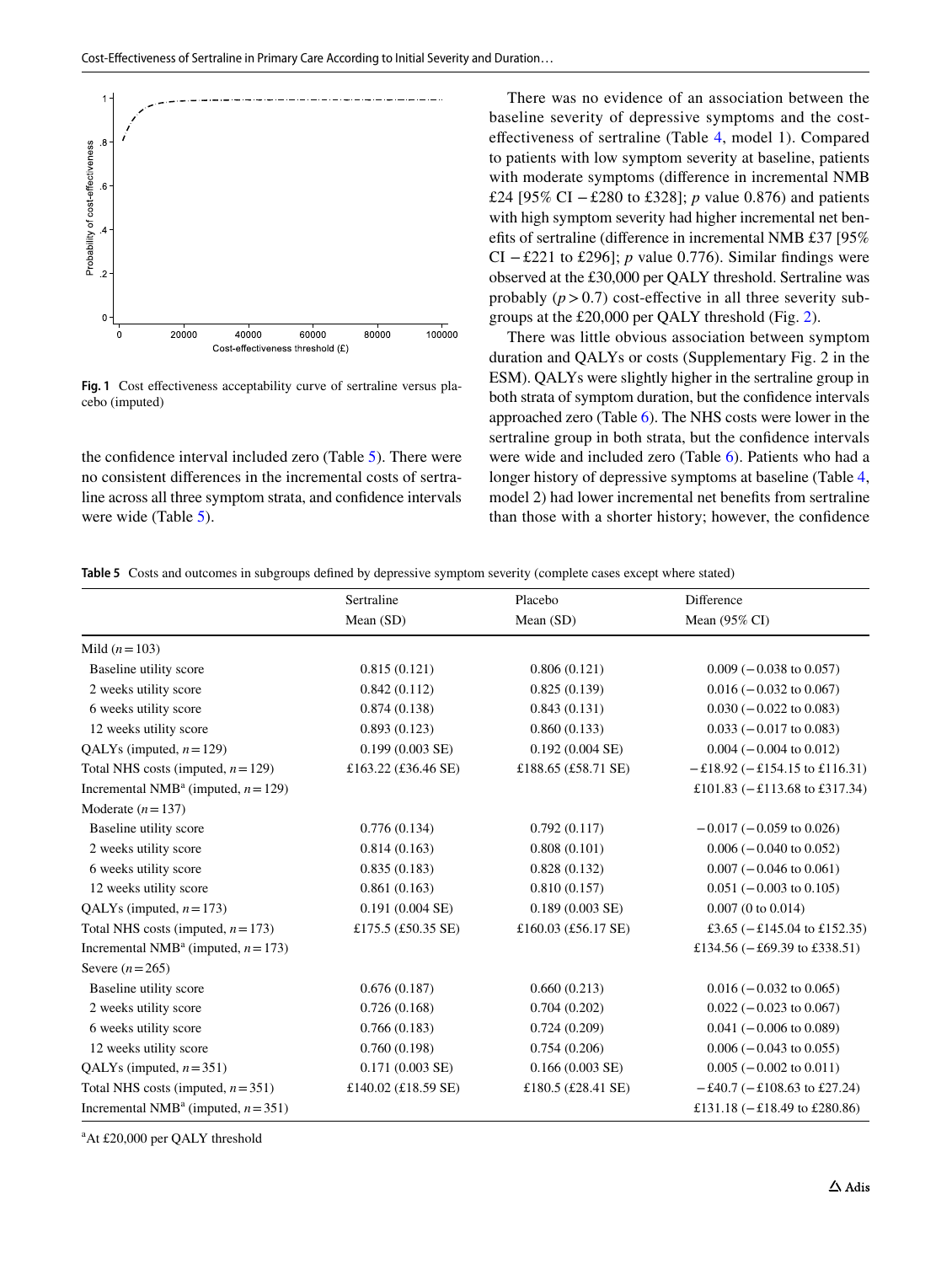

<span id="page-6-0"></span>Fig. 1 Cost effectiveness acceptability curve of sertraline versus placebo (imputed)

the confdence interval included zero (Table [5\)](#page-6-1). There were no consistent diferences in the incremental costs of sertraline across all three symptom strata, and confdence intervals were wide (Table [5](#page-6-1)).

There was no evidence of an association between the baseline severity of depressive symptoms and the costefectiveness of sertraline (Table [4](#page-5-1), model 1). Compared to patients with low symptom severity at baseline, patients with moderate symptoms (diference in incremental NMB £24 [95% CI −£280 to £328]; *p* value 0.876) and patients with high symptom severity had higher incremental net benefts of sertraline (diference in incremental NMB £37 [95% CI −£221 to £296]; *p* value 0.776). Similar fndings were observed at the £30,000 per QALY threshold. Sertraline was probably  $(p > 0.7)$  cost-effective in all three severity subgroups at the £20,000 per QALY threshold (Fig. [2](#page-7-0)).

There was little obvious association between symptom duration and QALYs or costs (Supplementary Fig. 2 in the ESM). QALYs were slightly higher in the sertraline group in both strata of symptom duration, but the confdence intervals approached zero (Table [6](#page-7-1)). The NHS costs were lower in the sertraline group in both strata, but the confidence intervals were wide and included zero (Table [6](#page-7-1)). Patients who had a longer history of depressive symptoms at baseline (Table [4,](#page-5-1) model 2) had lower incremental net benefts from sertraline than those with a shorter history; however, the confdence

<span id="page-6-1"></span>**Table 5** Costs and outcomes in subgroups defned by depressive symptom severity (complete cases except where stated)

|                                                    | Sertraline          | Placebo             | Difference                                         |  |
|----------------------------------------------------|---------------------|---------------------|----------------------------------------------------|--|
|                                                    | Mean (SD)           | Mean (SD)           | Mean $(95\% \text{ CI})$                           |  |
| Mild $(n=103)$                                     |                     |                     |                                                    |  |
| Baseline utility score                             | 0.815(0.121)        | 0.806(0.121)        | $0.009$ ( $-0.038$ to 0.057)                       |  |
| 2 weeks utility score                              | 0.842(0.112)        | 0.825(0.139)        | $0.016 (-0.032 \text{ to } 0.067)$                 |  |
| 6 weeks utility score                              | 0.874(0.138)        | 0.843(0.131)        | $0.030 (-0.022 \text{ to } 0.083)$                 |  |
| 12 weeks utility score                             | 0.893(0.123)        | 0.860(0.133)        | $0.033 (-0.017$ to $0.083)$                        |  |
| QALYs (imputed, $n = 129$ )                        | 0.199(0.003 SE)     | 0.192(0.004 SE)     | $0.004 (-0.004 \text{ to } 0.012)$                 |  |
| Total NHS costs (imputed, $n = 129$ )              | £163.22 (£36.46 SE) | £188.65 (£58.71 SE) | $-£18.92 (-£154.15 to £116.31)$                    |  |
| Incremental NMB <sup>a</sup> (imputed, $n = 129$ ) |                     |                     | £101.83 $(-£113.68$ to £317.34)                    |  |
| Moderate $(n=137)$                                 |                     |                     |                                                    |  |
| Baseline utility score                             | 0.776(0.134)        | 0.792(0.117)        | $-0.017$ ( $-0.059$ to 0.026)                      |  |
| 2 weeks utility score                              | 0.814(0.163)        | 0.808(0.101)        | $0.006$ ( $-0.040$ to $0.052$ )                    |  |
| 6 weeks utility score                              | 0.835(0.183)        | 0.828(0.132)        | $0.007$ (-0.046 to 0.061)                          |  |
| 12 weeks utility score                             | 0.861(0.163)        | 0.810(0.157)        | $0.051$ (-0.003 to 0.105)                          |  |
| QALYs (imputed, $n = 173$ )                        | 0.191(0.004 SE)     | 0.189(0.003 SE)     | $0.007(0 \text{ to } 0.014)$                       |  |
| Total NHS costs (imputed, $n = 173$ )              | £175.5 (£50.35 SE)  | £160.03 (£56.17 SE) | £3.65 $(-\pounds145.04 \text{ to } \pounds152.35)$ |  |
| Incremental NMB <sup>a</sup> (imputed, $n = 173$ ) |                     |                     | £134.56 ( $-$ £69.39 to £338.51)                   |  |
| Severe $(n=265)$                                   |                     |                     |                                                    |  |
| Baseline utility score                             | 0.676(0.187)        | 0.660(0.213)        | $0.016 (-0.032 \text{ to } 0.065)$                 |  |
| 2 weeks utility score                              | 0.726(0.168)        | 0.704(0.202)        | $0.022$ (-0.023 to 0.067)                          |  |
| 6 weeks utility score                              | 0.766(0.183)        | 0.724(0.209)        | $0.041$ (-0.006 to 0.089)                          |  |
| 12 weeks utility score                             | 0.760(0.198)        | 0.754(0.206)        | $0.006 (-0.043 \text{ to } 0.055)$                 |  |
| QALYs (imputed, $n = 351$ )                        | 0.171(0.003 SE)     | 0.166(0.003 SE)     | $0.005$ ( $-0.002$ to $0.011$ )                    |  |
| Total NHS costs (imputed, $n = 351$ )              | £140.02 (£18.59 SE) | £180.5 (£28.41 SE)  | $-£40.7 (-£108.63$ to £27.24)                      |  |
| Incremental NMB <sup>a</sup> (imputed, $n = 351$ ) |                     |                     | £131.18 ( $-$ £18.49 to £280.86)                   |  |

a At £20,000 per QALY threshold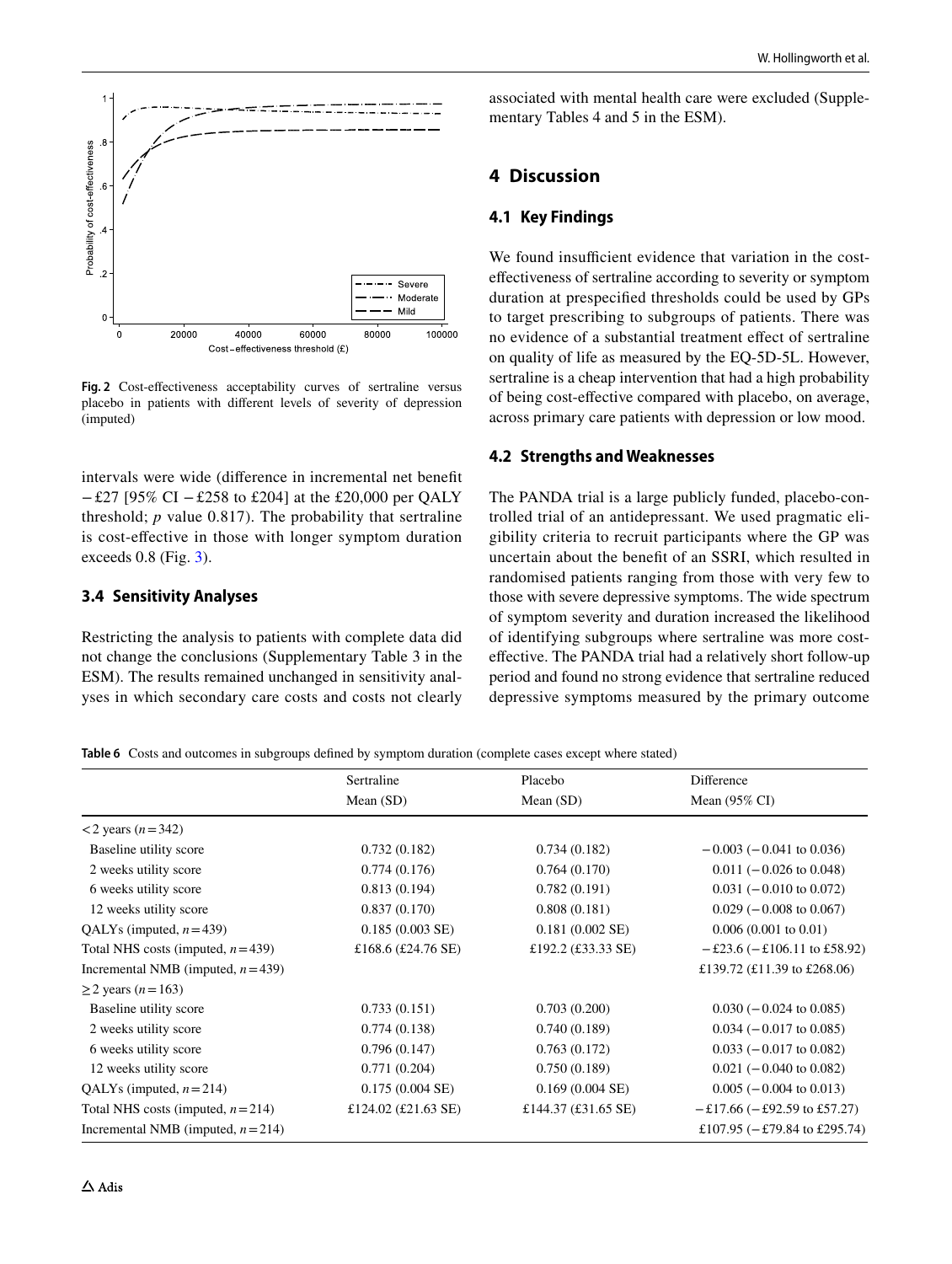

<span id="page-7-0"></span>Fig. 2 Cost-effectiveness acceptability curves of sertraline versus placebo in patients with diferent levels of severity of depression (imputed)

intervals were wide (diference in incremental net beneft −£27 [95% CI −£258 to £204] at the £20,000 per QALY threshold; *p* value 0.817). The probability that sertraline is cost-efective in those with longer symptom duration exceeds 0.8 (Fig. [3\)](#page-8-0).

#### **3.4 Sensitivity Analyses**

Restricting the analysis to patients with complete data did not change the conclusions (Supplementary Table 3 in the ESM). The results remained unchanged in sensitivity analyses in which secondary care costs and costs not clearly associated with mental health care were excluded (Supplementary Tables 4 and 5 in the ESM).

## **4 Discussion**

#### **4.1 Key Findings**

We found insufficient evidence that variation in the costefectiveness of sertraline according to severity or symptom duration at prespecifed thresholds could be used by GPs to target prescribing to subgroups of patients. There was no evidence of a substantial treatment efect of sertraline on quality of life as measured by the EQ-5D-5L. However, sertraline is a cheap intervention that had a high probability of being cost-efective compared with placebo, on average, across primary care patients with depression or low mood.

#### **4.2 Strengths and Weaknesses**

The PANDA trial is a large publicly funded, placebo-controlled trial of an antidepressant. We used pragmatic eligibility criteria to recruit participants where the GP was uncertain about the beneft of an SSRI, which resulted in randomised patients ranging from those with very few to those with severe depressive symptoms. The wide spectrum of symptom severity and duration increased the likelihood of identifying subgroups where sertraline was more costefective. The PANDA trial had a relatively short follow-up period and found no strong evidence that sertraline reduced depressive symptoms measured by the primary outcome

<span id="page-7-1"></span>**Table 6** Costs and outcomes in subgroups defned by symptom duration (complete cases except where stated)

|                                       | Sertraline          | Placebo               | Difference                         |
|---------------------------------------|---------------------|-----------------------|------------------------------------|
|                                       | Mean (SD)           | Mean $(SD)$           | Mean $(95\% \text{ CI})$           |
| $<$ 2 years ( <i>n</i> = 342)         |                     |                       |                                    |
| Baseline utility score                | 0.732(0.182)        | 0.734(0.182)          | $-0.003$ ( $-0.041$ to 0.036)      |
| 2 weeks utility score                 | 0.774(0.176)        | 0.764(0.170)          | $0.011 (-0.026 \text{ to } 0.048)$ |
| 6 weeks utility score                 | 0.813(0.194)        | 0.782(0.191)          | $0.031$ (-0.010 to 0.072)          |
| 12 weeks utility score                | 0.837(0.170)        | 0.808(0.181)          | $0.029$ ( $-0.008$ to 0.067)       |
| QALYs (imputed, $n=439$ )             | 0.185(0.003 SE)     | $0.181(0.002$ SE)     | 0.006(0.001 to 0.01)               |
| Total NHS costs (imputed, $n = 439$ ) | £168.6 (£24.76 SE)  | £192.2 (£33.33 SE)    | $-£23.6 (-£106.11 to £58.92)$      |
| Incremental NMB (imputed, $n = 439$ ) |                     |                       | £139.72 (£11.39 to £268.06)        |
| $\geq$ 2 years ( <i>n</i> = 163)      |                     |                       |                                    |
| Baseline utility score                | 0.733(0.151)        | 0.703(0.200)          | $0.030 (-0.024 \text{ to } 0.085)$ |
| 2 weeks utility score                 | 0.774(0.138)        | 0.740(0.189)          | $0.034 (-0.017 \text{ to } 0.085)$ |
| 6 weeks utility score                 | 0.796(0.147)        | 0.763(0.172)          | $0.033 (-0.017 \text{ to } 0.082)$ |
| 12 weeks utility score                | 0.771(0.204)        | 0.750(0.189)          | $0.021$ (-0.040 to 0.082)          |
| QALYs (imputed, $n=214$ )             | $0.175(0.004$ SE)   | 0.169(0.004 SE)       | $0.005$ ( $-0.004$ to 0.013)       |
| Total NHS costs (imputed, $n = 214$ ) | £124.02 (£21.63 SE) | £144.37 $(E31.65 SE)$ | $-£17.66 (-£92.59$ to £57.27)      |
| Incremental NMB (imputed, $n = 214$ ) |                     |                       | £107.95 ( $-$ £79.84 to £295.74)   |
|                                       |                     |                       |                                    |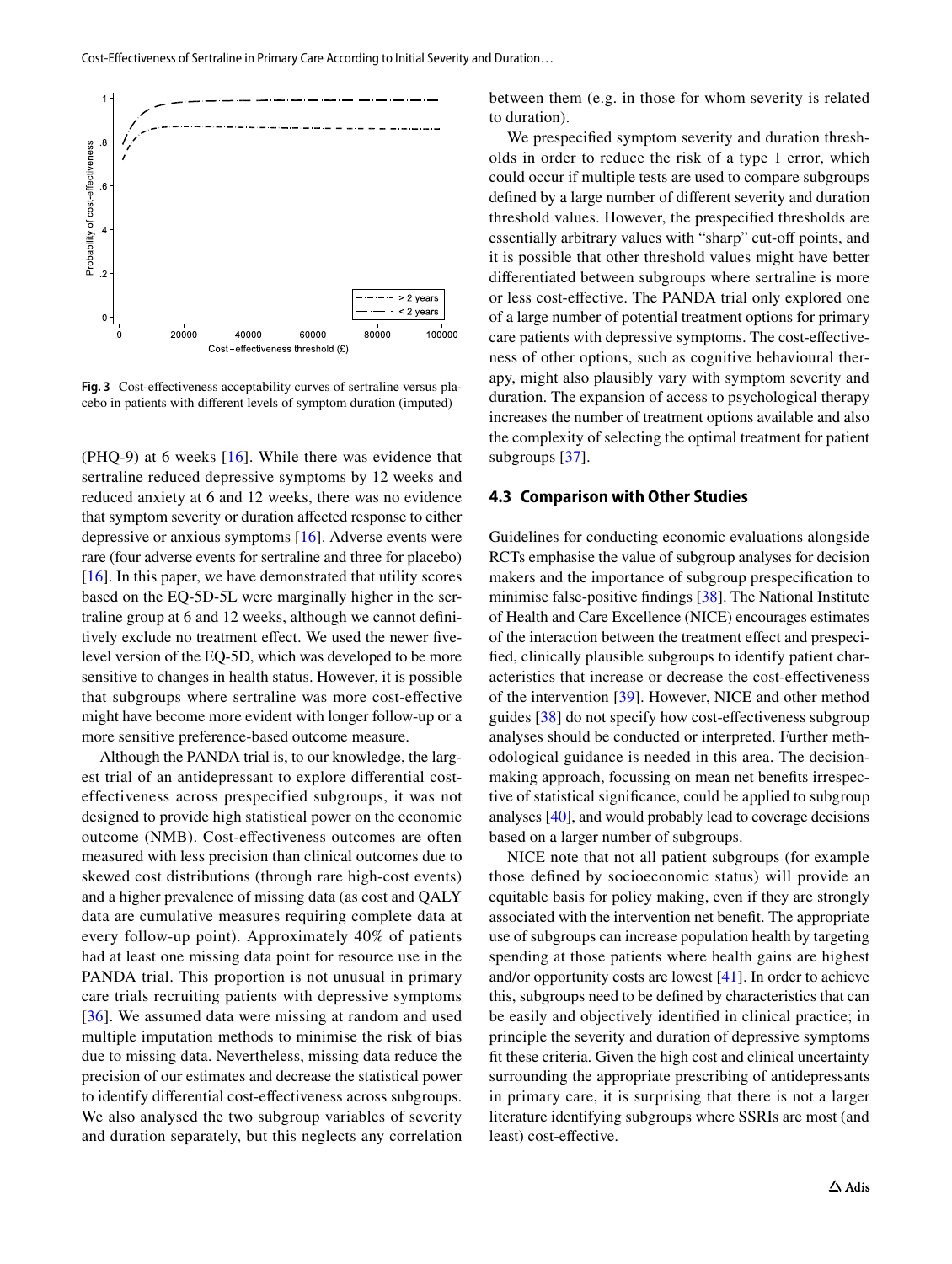

<span id="page-8-0"></span>**Fig. 3** Cost-efectiveness acceptability curves of sertraline versus placebo in patients with diferent levels of symptom duration (imputed)

(PHQ-9) at 6 weeks  $[16]$  $[16]$  $[16]$ . While there was evidence that sertraline reduced depressive symptoms by 12 weeks and reduced anxiety at 6 and 12 weeks, there was no evidence that symptom severity or duration afected response to either depressive or anxious symptoms [[16\]](#page-10-2). Adverse events were rare (four adverse events for sertraline and three for placebo)  $[16]$ . In this paper, we have demonstrated that utility scores based on the EQ-5D-5L were marginally higher in the sertraline group at 6 and 12 weeks, although we cannot defnitively exclude no treatment effect. We used the newer fivelevel version of the EQ-5D, which was developed to be more sensitive to changes in health status. However, it is possible that subgroups where sertraline was more cost-efective might have become more evident with longer follow-up or a more sensitive preference-based outcome measure.

Although the PANDA trial is, to our knowledge, the largest trial of an antidepressant to explore diferential costeffectiveness across prespecified subgroups, it was not designed to provide high statistical power on the economic outcome (NMB). Cost-efectiveness outcomes are often measured with less precision than clinical outcomes due to skewed cost distributions (through rare high-cost events) and a higher prevalence of missing data (as cost and QALY data are cumulative measures requiring complete data at every follow-up point). Approximately 40% of patients had at least one missing data point for resource use in the PANDA trial. This proportion is not unusual in primary care trials recruiting patients with depressive symptoms [[36\]](#page-11-2). We assumed data were missing at random and used multiple imputation methods to minimise the risk of bias due to missing data. Nevertheless, missing data reduce the precision of our estimates and decrease the statistical power to identify diferential cost-efectiveness across subgroups. We also analysed the two subgroup variables of severity and duration separately, but this neglects any correlation between them (e.g. in those for whom severity is related to duration).

We prespecifed symptom severity and duration thresholds in order to reduce the risk of a type 1 error, which could occur if multiple tests are used to compare subgroups defned by a large number of diferent severity and duration threshold values. However, the prespecifed thresholds are essentially arbitrary values with "sharp" cut-off points, and it is possible that other threshold values might have better diferentiated between subgroups where sertraline is more or less cost-efective. The PANDA trial only explored one of a large number of potential treatment options for primary care patients with depressive symptoms. The cost-efectiveness of other options, such as cognitive behavioural therapy, might also plausibly vary with symptom severity and duration. The expansion of access to psychological therapy increases the number of treatment options available and also the complexity of selecting the optimal treatment for patient subgroups [[37\]](#page-11-3).

#### **4.3 Comparison with Other Studies**

Guidelines for conducting economic evaluations alongside RCTs emphasise the value of subgroup analyses for decision makers and the importance of subgroup prespecifcation to minimise false-positive findings [\[38](#page-11-4)]. The National Institute of Health and Care Excellence (NICE) encourages estimates of the interaction between the treatment efect and prespecifed, clinically plausible subgroups to identify patient characteristics that increase or decrease the cost-efectiveness of the intervention [\[39](#page-11-5)]. However, NICE and other method guides [\[38](#page-11-4)] do not specify how cost-efectiveness subgroup analyses should be conducted or interpreted. Further methodological guidance is needed in this area. The decisionmaking approach, focussing on mean net benefts irrespective of statistical signifcance, could be applied to subgroup analyses [[40](#page-11-6)], and would probably lead to coverage decisions based on a larger number of subgroups.

NICE note that not all patient subgroups (for example those defned by socioeconomic status) will provide an equitable basis for policy making, even if they are strongly associated with the intervention net beneft. The appropriate use of subgroups can increase population health by targeting spending at those patients where health gains are highest and/or opportunity costs are lowest [[41\]](#page-11-7). In order to achieve this, subgroups need to be defned by characteristics that can be easily and objectively identifed in clinical practice; in principle the severity and duration of depressive symptoms ft these criteria. Given the high cost and clinical uncertainty surrounding the appropriate prescribing of antidepressants in primary care, it is surprising that there is not a larger literature identifying subgroups where SSRIs are most (and least) cost-efective.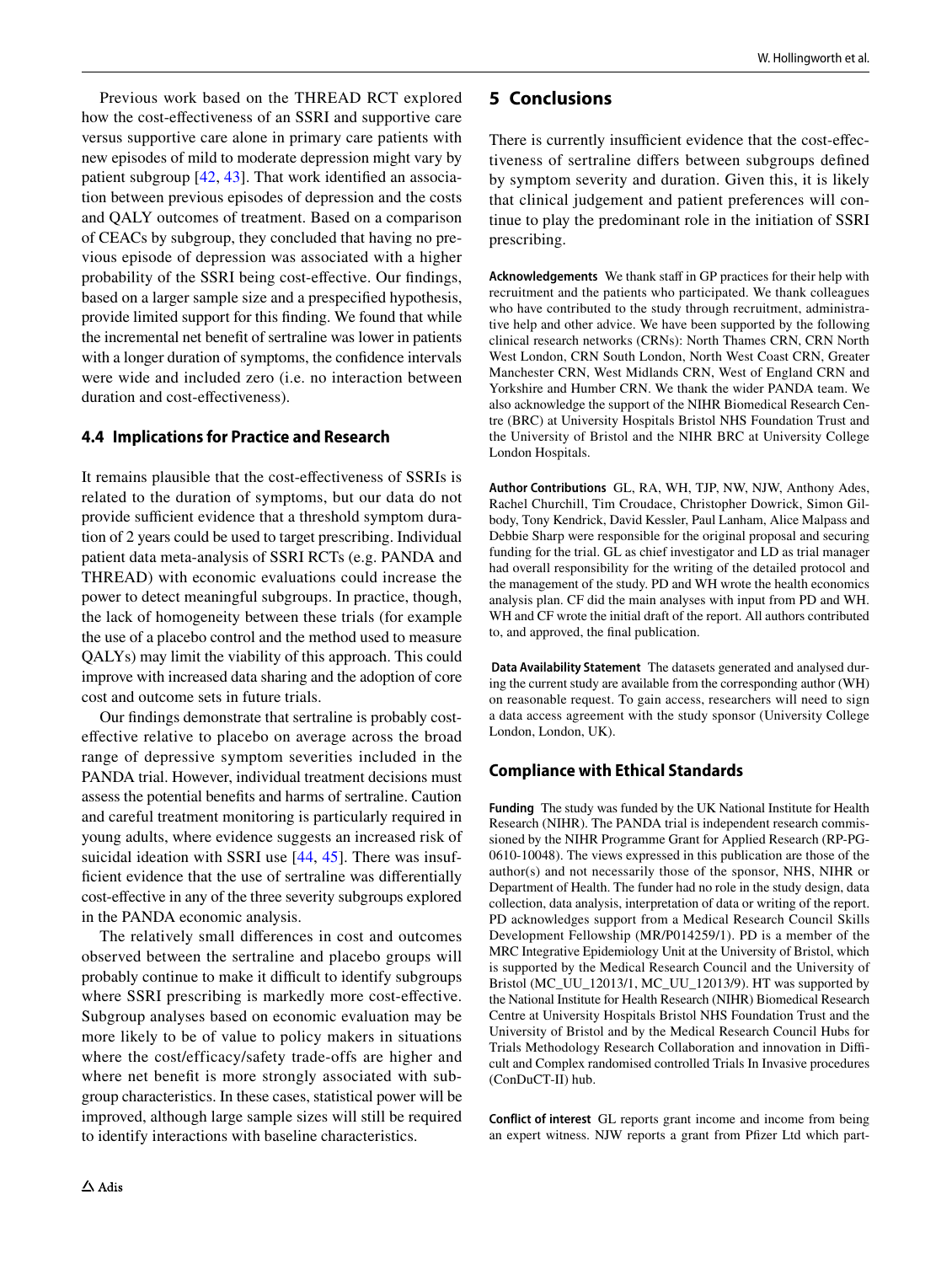Previous work based on the THREAD RCT explored how the cost-efectiveness of an SSRI and supportive care versus supportive care alone in primary care patients with new episodes of mild to moderate depression might vary by patient subgroup [[42](#page-11-8), [43](#page-11-9)]. That work identifed an association between previous episodes of depression and the costs and QALY outcomes of treatment. Based on a comparison of CEACs by subgroup, they concluded that having no previous episode of depression was associated with a higher probability of the SSRI being cost-efective. Our fndings, based on a larger sample size and a prespecifed hypothesis, provide limited support for this fnding. We found that while the incremental net beneft of sertraline was lower in patients with a longer duration of symptoms, the confidence intervals were wide and included zero (i.e. no interaction between duration and cost-efectiveness).

## **4.4 Implications for Practice and Research**

It remains plausible that the cost-efectiveness of SSRIs is related to the duration of symptoms, but our data do not provide sufficient evidence that a threshold symptom duration of 2 years could be used to target prescribing. Individual patient data meta-analysis of SSRI RCTs (e.g. PANDA and THREAD) with economic evaluations could increase the power to detect meaningful subgroups. In practice, though, the lack of homogeneity between these trials (for example the use of a placebo control and the method used to measure QALYs) may limit the viability of this approach. This could improve with increased data sharing and the adoption of core cost and outcome sets in future trials.

Our fndings demonstrate that sertraline is probably costefective relative to placebo on average across the broad range of depressive symptom severities included in the PANDA trial. However, individual treatment decisions must assess the potential benefts and harms of sertraline. Caution and careful treatment monitoring is particularly required in young adults, where evidence suggests an increased risk of suicidal ideation with SSRI use [[44](#page-11-10), [45\]](#page-11-11). There was insufficient evidence that the use of sertraline was differentially cost-efective in any of the three severity subgroups explored in the PANDA economic analysis.

The relatively small diferences in cost and outcomes observed between the sertraline and placebo groups will probably continue to make it difficult to identify subgroups where SSRI prescribing is markedly more cost-efective. Subgroup analyses based on economic evaluation may be more likely to be of value to policy makers in situations where the cost/efficacy/safety trade-offs are higher and where net beneft is more strongly associated with subgroup characteristics. In these cases, statistical power will be improved, although large sample sizes will still be required to identify interactions with baseline characteristics.

## **5 Conclusions**

There is currently insufficient evidence that the cost-effectiveness of sertraline difers between subgroups defned by symptom severity and duration. Given this, it is likely that clinical judgement and patient preferences will continue to play the predominant role in the initiation of SSRI prescribing.

**Acknowledgements** We thank staff in GP practices for their help with recruitment and the patients who participated. We thank colleagues who have contributed to the study through recruitment, administrative help and other advice. We have been supported by the following clinical research networks (CRNs): North Thames CRN, CRN North West London, CRN South London, North West Coast CRN, Greater Manchester CRN, West Midlands CRN, West of England CRN and Yorkshire and Humber CRN. We thank the wider PANDA team. We also acknowledge the support of the NIHR Biomedical Research Centre (BRC) at University Hospitals Bristol NHS Foundation Trust and the University of Bristol and the NIHR BRC at University College London Hospitals.

**Author Contributions** GL, RA, WH, TJP, NW, NJW, Anthony Ades, Rachel Churchill, Tim Croudace, Christopher Dowrick, Simon Gilbody, Tony Kendrick, David Kessler, Paul Lanham, Alice Malpass and Debbie Sharp were responsible for the original proposal and securing funding for the trial. GL as chief investigator and LD as trial manager had overall responsibility for the writing of the detailed protocol and the management of the study. PD and WH wrote the health economics analysis plan. CF did the main analyses with input from PD and WH. WH and CF wrote the initial draft of the report. All authors contributed to, and approved, the fnal publication.

 **Data Availability Statement** The datasets generated and analysed during the current study are available from the corresponding author (WH) on reasonable request. To gain access, researchers will need to sign a data access agreement with the study sponsor (University College London, London, UK).

## **Compliance with Ethical Standards**

**Funding** The study was funded by the UK National Institute for Health Research (NIHR). The PANDA trial is independent research commissioned by the NIHR Programme Grant for Applied Research (RP-PG-0610-10048). The views expressed in this publication are those of the author(s) and not necessarily those of the sponsor, NHS, NIHR or Department of Health. The funder had no role in the study design, data collection, data analysis, interpretation of data or writing of the report. PD acknowledges support from a Medical Research Council Skills Development Fellowship (MR/P014259/1). PD is a member of the MRC Integrative Epidemiology Unit at the University of Bristol, which is supported by the Medical Research Council and the University of Bristol (MC\_UU\_12013/1, MC\_UU\_12013/9). HT was supported by the National Institute for Health Research (NIHR) Biomedical Research Centre at University Hospitals Bristol NHS Foundation Trust and the University of Bristol and by the Medical Research Council Hubs for Trials Methodology Research Collaboration and innovation in Difficult and Complex randomised controlled Trials In Invasive procedures (ConDuCT-II) hub.

**Conflict of interest** GL reports grant income and income from being an expert witness. NJW reports a grant from Pfizer Ltd which part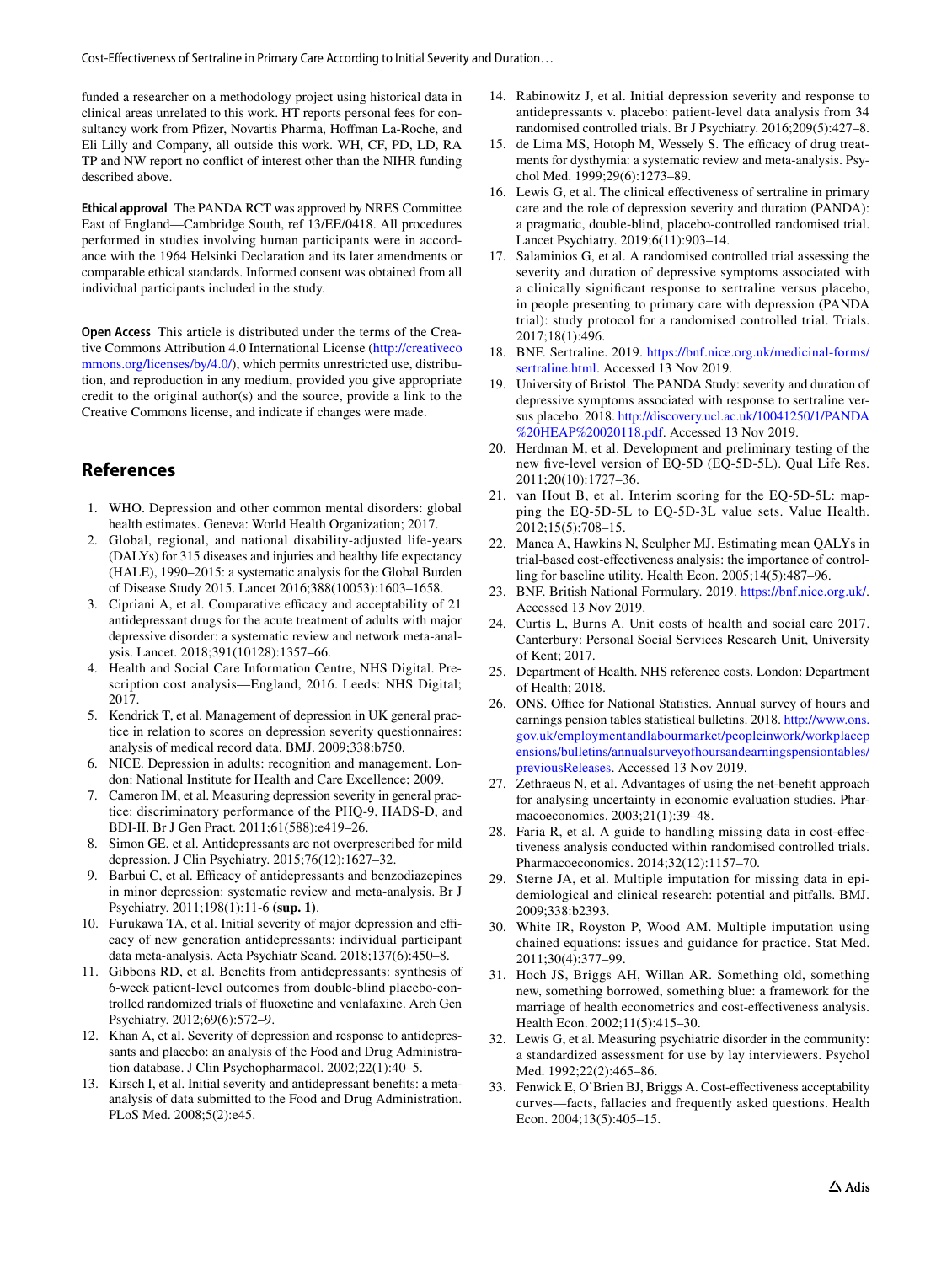funded a researcher on a methodology project using historical data in clinical areas unrelated to this work. HT reports personal fees for consultancy work from Pfizer, Novartis Pharma, Hoffman La-Roche, and Eli Lilly and Company, all outside this work. WH, CF, PD, LD, RA TP and NW report no confict of interest other than the NIHR funding described above.

**Ethical approval** The PANDA RCT was approved by NRES Committee East of England—Cambridge South, ref 13/EE/0418. All procedures performed in studies involving human participants were in accordance with the 1964 Helsinki Declaration and its later amendments or comparable ethical standards. Informed consent was obtained from all individual participants included in the study.

**Open Access** This article is distributed under the terms of the Creative Commons Attribution 4.0 International License [\(http://creativeco](http://creativecommons.org/licenses/by/4.0/) [mmons.org/licenses/by/4.0/](http://creativecommons.org/licenses/by/4.0/)), which permits unrestricted use, distribution, and reproduction in any medium, provided you give appropriate credit to the original author(s) and the source, provide a link to the Creative Commons license, and indicate if changes were made.

## **References**

- <span id="page-10-0"></span>1. WHO. Depression and other common mental disorders: global health estimates. Geneva: World Health Organization; 2017.
- <span id="page-10-1"></span>2. Global, regional, and national disability-adjusted life-years (DALYs) for 315 diseases and injuries and healthy life expectancy (HALE), 1990–2015: a systematic analysis for the Global Burden of Disease Study 2015. Lancet 2016;388(10053):1603–1658.
- <span id="page-10-7"></span>3. Cipriani A, et al. Comparative efficacy and acceptability of 21 antidepressant drugs for the acute treatment of adults with major depressive disorder: a systematic review and network meta-analysis. Lancet. 2018;391(10128):1357–66.
- <span id="page-10-8"></span>4. Health and Social Care Information Centre, NHS Digital. Prescription cost analysis—England, 2016. Leeds: NHS Digital; 2017.
- <span id="page-10-9"></span>5. Kendrick T, et al. Management of depression in UK general practice in relation to scores on depression severity questionnaires: analysis of medical record data. BMJ. 2009;338:b750.
- <span id="page-10-10"></span>6. NICE. Depression in adults: recognition and management. London: National Institute for Health and Care Excellence; 2009.
- <span id="page-10-11"></span>7. Cameron IM, et al. Measuring depression severity in general practice: discriminatory performance of the PHQ-9, HADS-D, and BDI-II. Br J Gen Pract. 2011;61(588):e419–26.
- <span id="page-10-12"></span>8. Simon GE, et al. Antidepressants are not overprescribed for mild depression. J Clin Psychiatry. 2015;76(12):1627–32.
- <span id="page-10-13"></span>9. Barbui C, et al. Efficacy of antidepressants and benzodiazepines in minor depression: systematic review and meta-analysis. Br J Psychiatry. 2011;198(1):11-6 **(sup. 1)**.
- <span id="page-10-14"></span>10. Furukawa TA, et al. Initial severity of major depression and efficacy of new generation antidepressants: individual participant data meta-analysis. Acta Psychiatr Scand. 2018;137(6):450–8.
- 11. Gibbons RD, et al. Benefts from antidepressants: synthesis of 6-week patient-level outcomes from double-blind placebo-controlled randomized trials of fuoxetine and venlafaxine. Arch Gen Psychiatry. 2012;69(6):572–9.
- 12. Khan A, et al. Severity of depression and response to antidepressants and placebo: an analysis of the Food and Drug Administration database. J Clin Psychopharmacol. 2002;22(1):40–5.
- 13. Kirsch I, et al. Initial severity and antidepressant benefts: a metaanalysis of data submitted to the Food and Drug Administration. PLoS Med. 2008;5(2):e45.
- <span id="page-10-15"></span>14. Rabinowitz J, et al. Initial depression severity and response to antidepressants v. placebo: patient-level data analysis from 34 randomised controlled trials. Br J Psychiatry. 2016;209(5):427–8.
- <span id="page-10-16"></span>15. de Lima MS, Hotoph M, Wessely S. The efficacy of drug treatments for dysthymia: a systematic review and meta-analysis. Psychol Med. 1999;29(6):1273–89.
- <span id="page-10-2"></span>16. Lewis G, et al. The clinical efectiveness of sertraline in primary care and the role of depression severity and duration (PANDA): a pragmatic, double-blind, placebo-controlled randomised trial. Lancet Psychiatry. 2019;6(11):903–14.
- <span id="page-10-3"></span>17. Salaminios G, et al. A randomised controlled trial assessing the severity and duration of depressive symptoms associated with a clinically signifcant response to sertraline versus placebo, in people presenting to primary care with depression (PANDA trial): study protocol for a randomised controlled trial. Trials. 2017;18(1):496.
- <span id="page-10-4"></span>18. BNF. Sertraline. 2019. [https://bnf.nice.org.uk/medicinal-forms/](https://bnf.nice.org.uk/medicinal-forms/sertraline.html) [sertraline.html](https://bnf.nice.org.uk/medicinal-forms/sertraline.html). Accessed 13 Nov 2019.
- <span id="page-10-5"></span>19. University of Bristol. The PANDA Study: severity and duration of depressive symptoms associated with response to sertraline versus placebo. 2018. [http://discovery.ucl.ac.uk/10041250/1/PANDA](http://discovery.ucl.ac.uk/10041250/1/PANDA%20HEAP%20020118.pdf) [%20HEAP%20020118.pdf.](http://discovery.ucl.ac.uk/10041250/1/PANDA%20HEAP%20020118.pdf) Accessed 13 Nov 2019.
- <span id="page-10-6"></span>20. Herdman M, et al. Development and preliminary testing of the new fve-level version of EQ-5D (EQ-5D-5L). Qual Life Res. 2011;20(10):1727–36.
- <span id="page-10-17"></span>21. van Hout B, et al. Interim scoring for the EQ-5D-5L: mapping the EQ-5D-5L to EQ-5D-3L value sets. Value Health. 2012;15(5):708–15.
- <span id="page-10-18"></span>22. Manca A, Hawkins N, Sculpher MJ. Estimating mean QALYs in trial-based cost-efectiveness analysis: the importance of controlling for baseline utility. Health Econ. 2005;14(5):487–96.
- <span id="page-10-19"></span>23. BNF. British National Formulary. 2019. <https://bnf.nice.org.uk/>. Accessed 13 Nov 2019.
- <span id="page-10-20"></span>24. Curtis L, Burns A. Unit costs of health and social care 2017. Canterbury: Personal Social Services Research Unit, University of Kent; 2017.
- <span id="page-10-21"></span>25. Department of Health. NHS reference costs. London: Department of Health; 2018.
- <span id="page-10-22"></span>26. ONS. Office for National Statistics. Annual survey of hours and earnings pension tables statistical bulletins. 2018. [http://www.ons.](http://www.ons.gov.uk/employmentandlabourmarket/peopleinwork/workplacepensions/bulletins/annualsurveyofhoursandearningspensiontables/previousReleases) [gov.uk/employmentandlabourmarket/peopleinwork/workplacep](http://www.ons.gov.uk/employmentandlabourmarket/peopleinwork/workplacepensions/bulletins/annualsurveyofhoursandearningspensiontables/previousReleases) [ensions/bulletins/annualsurveyofhoursandearningspensiontables/](http://www.ons.gov.uk/employmentandlabourmarket/peopleinwork/workplacepensions/bulletins/annualsurveyofhoursandearningspensiontables/previousReleases) [previousReleases.](http://www.ons.gov.uk/employmentandlabourmarket/peopleinwork/workplacepensions/bulletins/annualsurveyofhoursandearningspensiontables/previousReleases) Accessed 13 Nov 2019.
- <span id="page-10-23"></span>27. Zethraeus N, et al. Advantages of using the net-beneft approach for analysing uncertainty in economic evaluation studies. Pharmacoeconomics. 2003;21(1):39–48.
- <span id="page-10-24"></span>28. Faria R, et al. A guide to handling missing data in cost-efectiveness analysis conducted within randomised controlled trials. Pharmacoeconomics. 2014;32(12):1157–70.
- <span id="page-10-25"></span>29. Sterne JA, et al. Multiple imputation for missing data in epidemiological and clinical research: potential and pitfalls. BMJ. 2009;338:b2393.
- <span id="page-10-26"></span>30. White IR, Royston P, Wood AM. Multiple imputation using chained equations: issues and guidance for practice. Stat Med. 2011;30(4):377–99.
- <span id="page-10-27"></span>31. Hoch JS, Briggs AH, Willan AR. Something old, something new, something borrowed, something blue: a framework for the marriage of health econometrics and cost-efectiveness analysis. Health Econ. 2002;11(5):415–30.
- <span id="page-10-28"></span>32. Lewis G, et al. Measuring psychiatric disorder in the community: a standardized assessment for use by lay interviewers. Psychol Med. 1992;22(2):465–86.
- <span id="page-10-29"></span>33. Fenwick E, O'Brien BJ, Briggs A. Cost-efectiveness acceptability curves—facts, fallacies and frequently asked questions. Health Econ. 2004;13(5):405–15.